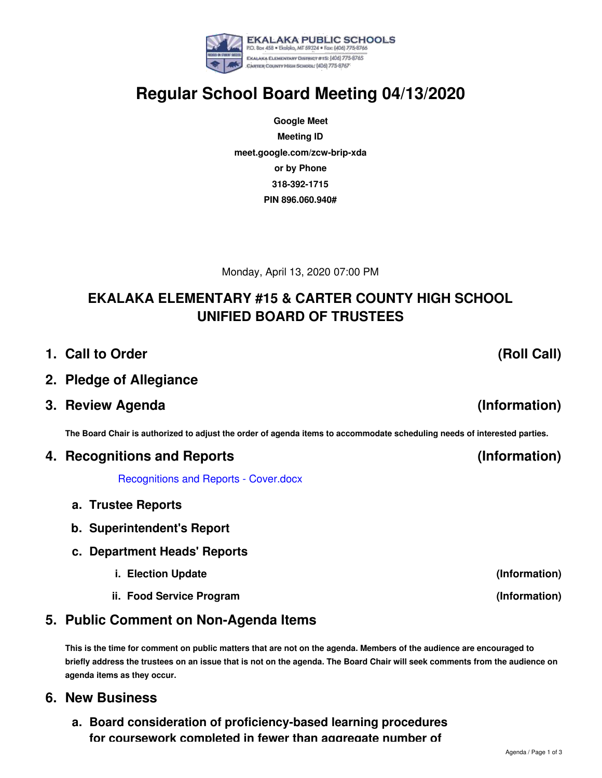### **a. Board consideration of proficiency-based learning procedures for coursework completed in fewer than aggregate number of**

## **Regular School Board Meeting 04/13/2020**

**EKALAKA PUBLIC SCHOOLS** P.O. Box 458 . Ekoloko, MT 59324 . Fax: (406) 775-8766 EKALAKA ELEMENTARY DISTRICT #15: (406) 775-8765 CARTER COUNTY HIGH SCHOOL: [406] 775-8767

**Google Meet Meeting ID meet.google.com/zcw-brip-xda or by Phone 318-392-1715 PIN 896.060.940#**

Monday, April 13, 2020 07:00 PM

## **EKALAKA ELEMENTARY #15 & CARTER COUNTY HIGH SCHOOL UNIFIED BOARD OF TRUSTEES**

- **1. Call to Order**
- **2. Pledge of Allegiance**
- **3. Review Agenda**

The Board Chair is authorized to adjust the order of agenda items to accommodate scheduling needs of interested parties.

#### **4. Recognitions and Reports**

[Recognitions](https://app.eduportal.com/documents/view/750238) and Reports - Cover.docx

- **a. Trustee Reports**
- **b. Superintendent's Report**
- **c. Department Heads' Reports**
	- **i. Election Update**
	- **ii. Food Service Program**

## **5. Public Comment on Non-Agenda Items**

This is the time for comment on public matters that are not on the agenda. Members of the audience are encouraged to briefly address the trustees on an issue that is not on the agenda. The Board Chair will seek comments from the audience on **agenda items as they occur.**

#### **6. New Business**

# **(Information)**

**(Roll Call)**

## **(Information)**

**(Information)**

**(Information)**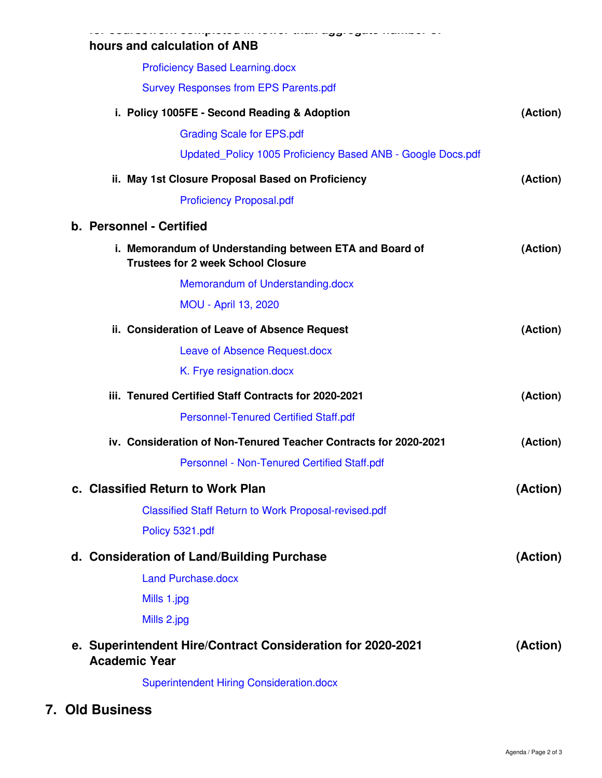| hours and calculation of ANB                                                                         |          |
|------------------------------------------------------------------------------------------------------|----------|
| <b>Proficiency Based Learning.docx</b>                                                               |          |
| <b>Survey Responses from EPS Parents.pdf</b>                                                         |          |
| i. Policy 1005FE - Second Reading & Adoption                                                         | (Action) |
| <b>Grading Scale for EPS.pdf</b>                                                                     |          |
| Updated_Policy 1005 Proficiency Based ANB - Google Docs.pdf                                          |          |
| ii. May 1st Closure Proposal Based on Proficiency                                                    | (Action) |
| <b>Proficiency Proposal.pdf</b>                                                                      |          |
| b. Personnel - Certified                                                                             |          |
| i. Memorandum of Understanding between ETA and Board of<br><b>Trustees for 2 week School Closure</b> | (Action) |
| Memorandum of Understanding.docx                                                                     |          |
| <b>MOU - April 13, 2020</b>                                                                          |          |
| ii. Consideration of Leave of Absence Request                                                        | (Action) |
| Leave of Absence Request.docx                                                                        |          |
| K. Frye resignation.docx                                                                             |          |
| iii. Tenured Certified Staff Contracts for 2020-2021                                                 | (Action) |
| <b>Personnel-Tenured Certified Staff.pdf</b>                                                         |          |
| iv. Consideration of Non-Tenured Teacher Contracts for 2020-2021                                     | (Action) |
| Personnel - Non-Tenured Certified Staff.pdf                                                          |          |
| c. Classified Return to Work Plan                                                                    | (Action) |
| <b>Classified Staff Return to Work Proposal-revised.pdf</b>                                          |          |
| Policy 5321.pdf                                                                                      |          |
| d. Consideration of Land/Building Purchase                                                           | (Action) |
| <b>Land Purchase.docx</b>                                                                            |          |
| Mills 1.jpg                                                                                          |          |
| Mills 2.jpg                                                                                          |          |
| e. Superintendent Hire/Contract Consideration for 2020-2021<br><b>Academic Year</b>                  | (Action) |
| <b>Superintendent Hiring Consideration.docx</b>                                                      |          |
|                                                                                                      |          |

**7. Old Business**